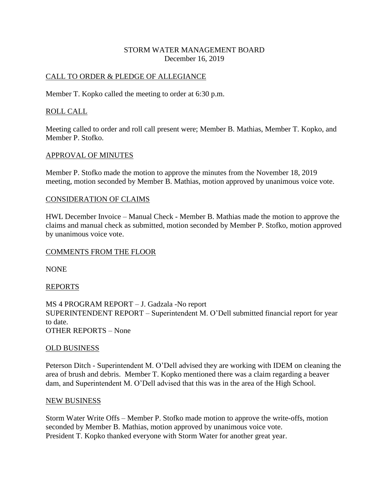## STORM WATER MANAGEMENT BOARD December 16, 2019

## CALL TO ORDER & PLEDGE OF ALLEGIANCE

Member T. Kopko called the meeting to order at 6:30 p.m.

## ROLL CALL

Meeting called to order and roll call present were; Member B. Mathias, Member T. Kopko, and Member P. Stofko.

### APPROVAL OF MINUTES

Member P. Stofko made the motion to approve the minutes from the November 18, 2019 meeting, motion seconded by Member B. Mathias, motion approved by unanimous voice vote.

### CONSIDERATION OF CLAIMS

HWL December Invoice – Manual Check - Member B. Mathias made the motion to approve the claims and manual check as submitted, motion seconded by Member P. Stofko, motion approved by unanimous voice vote.

#### COMMENTS FROM THE FLOOR

NONE

## REPORTS

MS 4 PROGRAM REPORT – J. Gadzala -No report SUPERINTENDENT REPORT – Superintendent M. O'Dell submitted financial report for year to date. OTHER REPORTS – None

#### OLD BUSINESS

Peterson Ditch - Superintendent M. O'Dell advised they are working with IDEM on cleaning the area of brush and debris. Member T. Kopko mentioned there was a claim regarding a beaver dam, and Superintendent M. O'Dell advised that this was in the area of the High School.

#### NEW BUSINESS

Storm Water Write Offs – Member P. Stofko made motion to approve the write-offs, motion seconded by Member B. Mathias, motion approved by unanimous voice vote. President T. Kopko thanked everyone with Storm Water for another great year.